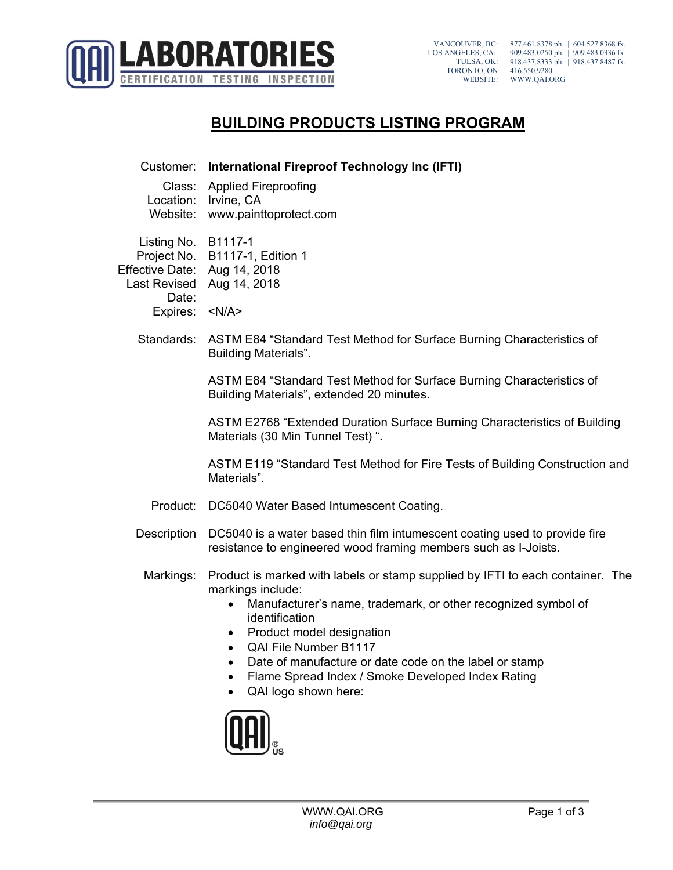

## **BUILDING PRODUCTS LISTING PROGRAM**

Customer: **International Fireproof Technology Inc (IFTI)** Class: Applied Fireproofing Location: Irvine, CA Website: www.painttoprotect.com Listing No. B1117-1 Project No. B1117-1, Edition 1 Effective Date: Aug 14, 2018 Last Revised Aug 14, 2018 Date: Expires: <N/A> Standards: ASTM E84 "Standard Test Method for Surface Burning Characteristics of Building Materials". ASTM E84 "Standard Test Method for Surface Burning Characteristics of Building Materials", extended 20 minutes. ASTM E2768 "Extended Duration Surface Burning Characteristics of Building Materials (30 Min Tunnel Test) ". ASTM E119 "Standard Test Method for Fire Tests of Building Construction and Materials". Product: DC5040 Water Based Intumescent Coating. Description DC5040 is a water based thin film intumescent coating used to provide fire resistance to engineered wood framing members such as I-Joists. Markings: Product is marked with labels or stamp supplied by IFTI to each container. The markings include: Manufacturer's name, trademark, or other recognized symbol of identification • Product model designation QAI File Number B1117 Date of manufacture or date code on the label or stamp • Flame Spread Index / Smoke Developed Index Rating • QAI logo shown here:

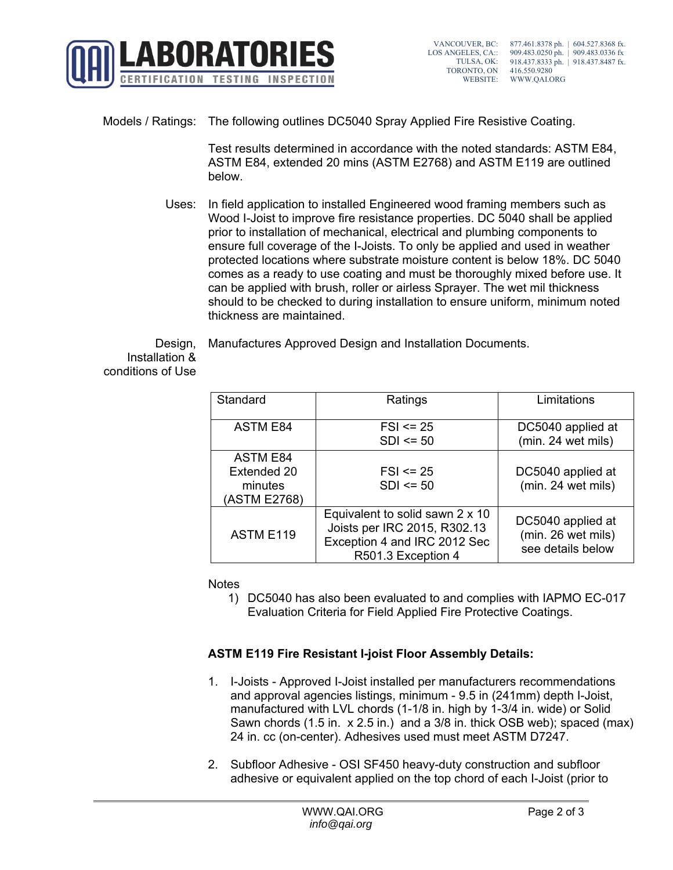

## Models / Ratings: The following outlines DC5040 Spray Applied Fire Resistive Coating.

Test results determined in accordance with the noted standards: ASTM E84, ASTM E84, extended 20 mins (ASTM E2768) and ASTM E119 are outlined below.

Uses: In field application to installed Engineered wood framing members such as Wood I-Joist to improve fire resistance properties. DC 5040 shall be applied prior to installation of mechanical, electrical and plumbing components to ensure full coverage of the I-Joists. To only be applied and used in weather protected locations where substrate moisture content is below 18%. DC 5040 comes as a ready to use coating and must be thoroughly mixed before use. It can be applied with brush, roller or airless Sprayer. The wet mil thickness should to be checked to during installation to ensure uniform, minimum noted thickness are maintained.

Manufactures Approved Design and Installation Documents.

Design, Installation & conditions of Use

| Standard        | Ratings                                                                                                               | Limitations                                                  |
|-----------------|-----------------------------------------------------------------------------------------------------------------------|--------------------------------------------------------------|
|                 |                                                                                                                       |                                                              |
| <b>ASTM E84</b> | $FSI \le 25$                                                                                                          | DC5040 applied at                                            |
|                 | $SDI \le 50$                                                                                                          | (min. 24 wet mils)                                           |
| <b>ASTM E84</b> |                                                                                                                       |                                                              |
| Extended 20     | $FSI \le 25$                                                                                                          | DC5040 applied at                                            |
| minutes         | $SDI \le 50$                                                                                                          | (min. 24 wet mils)                                           |
| (ASTM E2768)    |                                                                                                                       |                                                              |
| ASTM E119       | Equivalent to solid sawn 2 x 10<br>Joists per IRC 2015, R302.13<br>Exception 4 and IRC 2012 Sec<br>R501.3 Exception 4 | DC5040 applied at<br>(min. 26 wet mils)<br>see details below |

**Notes** 

1) DC5040 has also been evaluated to and complies with IAPMO EC-017 Evaluation Criteria for Field Applied Fire Protective Coatings.

## **ASTM E119 Fire Resistant I-joist Floor Assembly Details:**

- 1. I-Joists Approved I-Joist installed per manufacturers recommendations and approval agencies listings, minimum - 9.5 in (241mm) depth I-Joist, manufactured with LVL chords (1-1/8 in. high by 1-3/4 in. wide) or Solid Sawn chords (1.5 in. x 2.5 in.) and a 3/8 in. thick OSB web); spaced (max) 24 in. cc (on-center). Adhesives used must meet ASTM D7247.
- 2. Subfloor Adhesive OSI SF450 heavy-duty construction and subfloor adhesive or equivalent applied on the top chord of each I-Joist (prior to